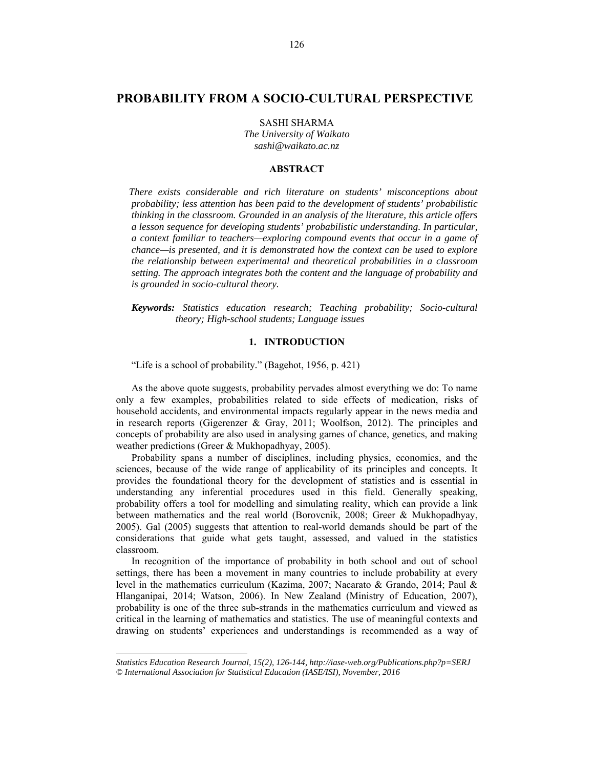# **PROBABILITY FROM A SOCIO-CULTURAL PERSPECTIVE<sup>1</sup>**

SASHI SHARMA *The University of Waikato sashi@waikato.ac.nz* 

### **ABSTRACT**

*There exists considerable and rich literature on students' misconceptions about probability; less attention has been paid to the development of students' probabilistic thinking in the classroom. Grounded in an analysis of the literature, this article offers a lesson sequence for developing students' probabilistic understanding. In particular, a context familiar to teachers—exploring compound events that occur in a game of chance—is presented, and it is demonstrated how the context can be used to explore the relationship between experimental and theoretical probabilities in a classroom setting. The approach integrates both the content and the language of probability and is grounded in socio-cultural theory.* 

*Keywords: Statistics education research; Teaching probability; Socio-cultural theory; High-school students; Language issues* 

## **1. INTRODUCTION**

"Life is a school of probability*.*" (Bagehot, 1956, p. 421)

As the above quote suggests, probability pervades almost everything we do: To name only a few examples, probabilities related to side effects of medication, risks of household accidents, and environmental impacts regularly appear in the news media and in research reports (Gigerenzer & Gray, 2011; Woolfson, 2012). The principles and concepts of probability are also used in analysing games of chance, genetics, and making weather predictions (Greer & Mukhopadhyay, 2005).

Probability spans a number of disciplines, including physics, economics, and the sciences, because of the wide range of applicability of its principles and concepts. It provides the foundational theory for the development of statistics and is essential in understanding any inferential procedures used in this field. Generally speaking, probability offers a tool for modelling and simulating reality, which can provide a link between mathematics and the real world (Borovcnik, 2008; Greer & Mukhopadhyay, 2005). Gal (2005) suggests that attention to real-world demands should be part of the considerations that guide what gets taught, assessed, and valued in the statistics classroom.

In recognition of the importance of probability in both school and out of school settings, there has been a movement in many countries to include probability at every level in the mathematics curriculum (Kazima, 2007; Nacarato & Grando, 2014; Paul & Hlanganipai, 2014; Watson, 2006). In New Zealand (Ministry of Education, 2007), probability is one of the three sub-strands in the mathematics curriculum and viewed as critical in the learning of mathematics and statistics. The use of meaningful contexts and drawing on students' experiences and understandings is recommended as a way of

l

*Statistics Education Research Journal, 15(2), 126-144, http://iase-web.org/Publications.php?p=SERJ © International Association for Statistical Education (IASE/ISI), November, 2016*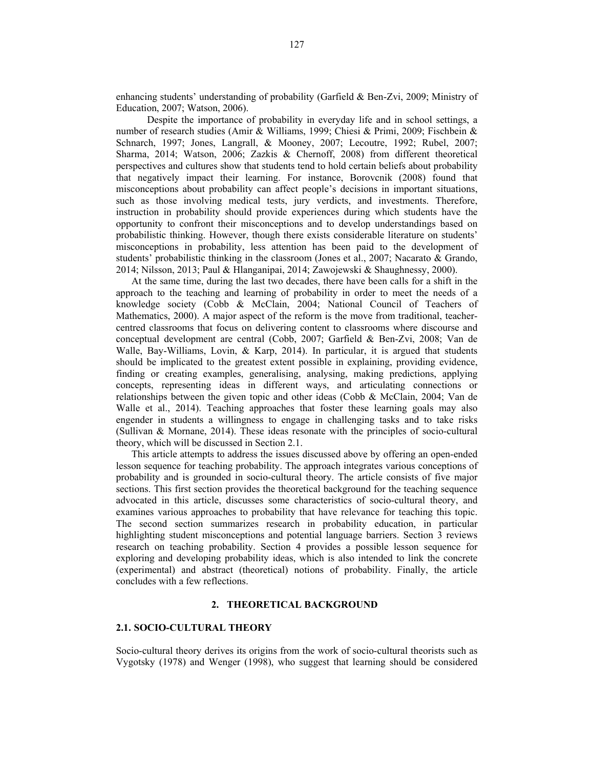enhancing students' understanding of probability (Garfield & Ben-Zvi, 2009; Ministry of Education, 2007; Watson, 2006).

 Despite the importance of probability in everyday life and in school settings, a number of research studies (Amir & Williams, 1999; Chiesi & Primi, 2009; Fischbein & Schnarch, 1997; Jones, Langrall, & Mooney, 2007; Lecoutre, 1992; Rubel, 2007; Sharma, 2014; Watson, 2006; Zazkis & Chernoff, 2008) from different theoretical perspectives and cultures show that students tend to hold certain beliefs about probability that negatively impact their learning. For instance, Borovcnik (2008) found that misconceptions about probability can affect people's decisions in important situations, such as those involving medical tests, jury verdicts, and investments. Therefore, instruction in probability should provide experiences during which students have the opportunity to confront their misconceptions and to develop understandings based on probabilistic thinking. However, though there exists considerable literature on students' misconceptions in probability, less attention has been paid to the development of students' probabilistic thinking in the classroom (Jones et al., 2007; Nacarato & Grando, 2014; Nilsson, 2013; Paul & Hlanganipai, 2014; Zawojewski & Shaughnessy, 2000).

At the same time, during the last two decades, there have been calls for a shift in the approach to the teaching and learning of probability in order to meet the needs of a knowledge society (Cobb & McClain, 2004; National Council of Teachers of Mathematics, 2000). A major aspect of the reform is the move from traditional, teachercentred classrooms that focus on delivering content to classrooms where discourse and conceptual development are central (Cobb, 2007; Garfield & Ben-Zvi, 2008; Van de Walle, Bay-Williams, Lovin, & Karp, 2014). In particular, it is argued that students should be implicated to the greatest extent possible in explaining, providing evidence, finding or creating examples, generalising, analysing, making predictions, applying concepts, representing ideas in different ways, and articulating connections or relationships between the given topic and other ideas (Cobb & McClain, 2004; Van de Walle et al., 2014). Teaching approaches that foster these learning goals may also engender in students a willingness to engage in challenging tasks and to take risks (Sullivan & Mornane, 2014). These ideas resonate with the principles of socio-cultural theory, which will be discussed in Section 2.1.

This article attempts to address the issues discussed above by offering an open-ended lesson sequence for teaching probability. The approach integrates various conceptions of probability and is grounded in socio-cultural theory. The article consists of five major sections. This first section provides the theoretical background for the teaching sequence advocated in this article, discusses some characteristics of socio-cultural theory, and examines various approaches to probability that have relevance for teaching this topic. The second section summarizes research in probability education, in particular highlighting student misconceptions and potential language barriers. Section 3 reviews research on teaching probability. Section 4 provides a possible lesson sequence for exploring and developing probability ideas, which is also intended to link the concrete (experimental) and abstract (theoretical) notions of probability. Finally, the article concludes with a few reflections.

### **2. THEORETICAL BACKGROUND**

### **2.1. SOCIO-CULTURAL THEORY**

Socio-cultural theory derives its origins from the work of socio-cultural theorists such as Vygotsky (1978) and Wenger (1998), who suggest that learning should be considered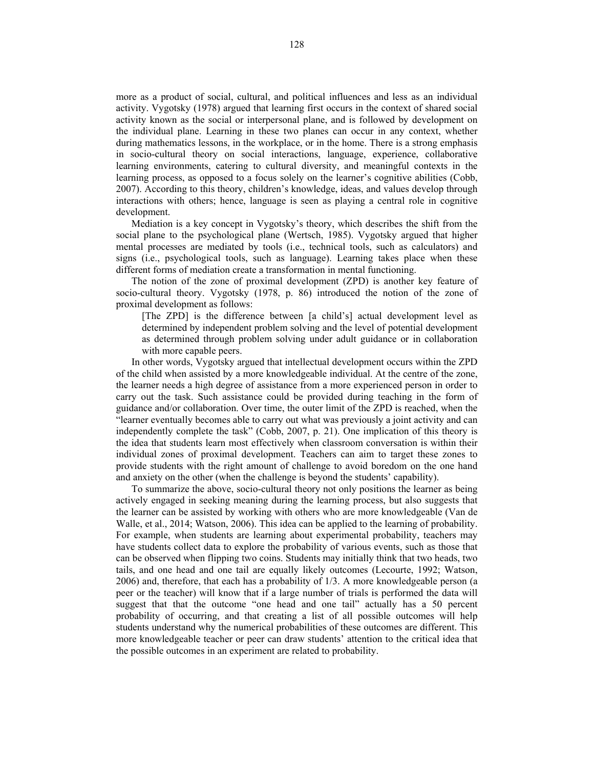more as a product of social, cultural, and political influences and less as an individual activity. Vygotsky (1978) argued that learning first occurs in the context of shared social activity known as the social or interpersonal plane, and is followed by development on the individual plane. Learning in these two planes can occur in any context, whether during mathematics lessons, in the workplace, or in the home. There is a strong emphasis in socio-cultural theory on social interactions, language, experience, collaborative learning environments, catering to cultural diversity, and meaningful contexts in the learning process, as opposed to a focus solely on the learner's cognitive abilities (Cobb, 2007). According to this theory, children's knowledge, ideas, and values develop through interactions with others; hence, language is seen as playing a central role in cognitive development.

Mediation is a key concept in Vygotsky's theory, which describes the shift from the social plane to the psychological plane (Wertsch, 1985). Vygotsky argued that higher mental processes are mediated by tools (i.e., technical tools, such as calculators) and signs (i.e., psychological tools, such as language). Learning takes place when these different forms of mediation create a transformation in mental functioning.

The notion of the zone of proximal development (ZPD) is another key feature of socio-cultural theory. Vygotsky (1978, p. 86) introduced the notion of the zone of proximal development as follows:

[The ZPD] is the difference between [a child's] actual development level as determined by independent problem solving and the level of potential development as determined through problem solving under adult guidance or in collaboration with more capable peers.

In other words, Vygotsky argued that intellectual development occurs within the ZPD of the child when assisted by a more knowledgeable individual. At the centre of the zone, the learner needs a high degree of assistance from a more experienced person in order to carry out the task. Such assistance could be provided during teaching in the form of guidance and/or collaboration. Over time, the outer limit of the ZPD is reached, when the "learner eventually becomes able to carry out what was previously a joint activity and can independently complete the task" (Cobb, 2007, p. 21). One implication of this theory is the idea that students learn most effectively when classroom conversation is within their individual zones of proximal development. Teachers can aim to target these zones to provide students with the right amount of challenge to avoid boredom on the one hand and anxiety on the other (when the challenge is beyond the students' capability).

To summarize the above, socio-cultural theory not only positions the learner as being actively engaged in seeking meaning during the learning process, but also suggests that the learner can be assisted by working with others who are more knowledgeable (Van de Walle, et al., 2014; Watson, 2006). This idea can be applied to the learning of probability. For example, when students are learning about experimental probability, teachers may have students collect data to explore the probability of various events, such as those that can be observed when flipping two coins. Students may initially think that two heads, two tails, and one head and one tail are equally likely outcomes (Lecourte, 1992; Watson, 2006) and, therefore, that each has a probability of 1/3. A more knowledgeable person (a peer or the teacher) will know that if a large number of trials is performed the data will suggest that that the outcome "one head and one tail" actually has a 50 percent probability of occurring, and that creating a list of all possible outcomes will help students understand why the numerical probabilities of these outcomes are different. This more knowledgeable teacher or peer can draw students' attention to the critical idea that the possible outcomes in an experiment are related to probability.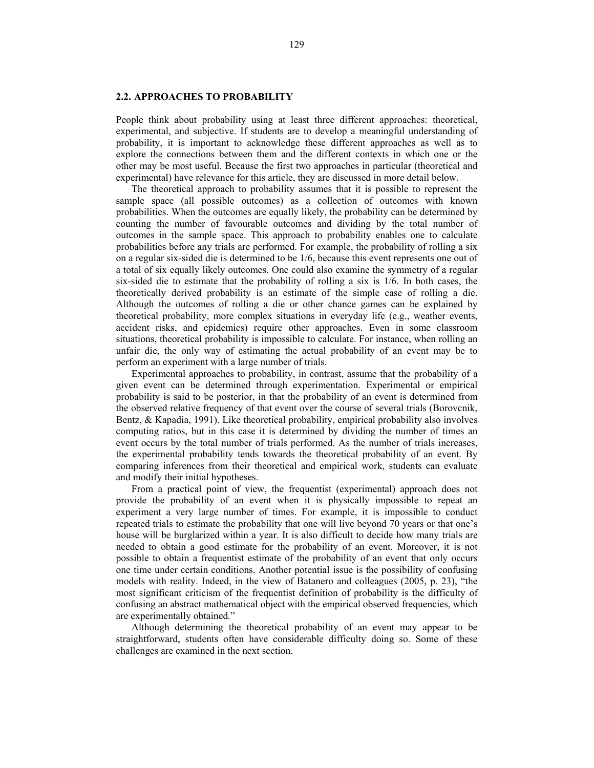### **2.2. APPROACHES TO PROBABILITY**

People think about probability using at least three different approaches: theoretical, experimental, and subjective. If students are to develop a meaningful understanding of probability, it is important to acknowledge these different approaches as well as to explore the connections between them and the different contexts in which one or the other may be most useful. Because the first two approaches in particular (theoretical and experimental) have relevance for this article, they are discussed in more detail below.

The theoretical approach to probability assumes that it is possible to represent the sample space (all possible outcomes) as a collection of outcomes with known probabilities. When the outcomes are equally likely, the probability can be determined by counting the number of favourable outcomes and dividing by the total number of outcomes in the sample space. This approach to probability enables one to calculate probabilities before any trials are performed. For example, the probability of rolling a six on a regular six-sided die is determined to be 1/6, because this event represents one out of a total of six equally likely outcomes. One could also examine the symmetry of a regular six-sided die to estimate that the probability of rolling a six is 1/6. In both cases, the theoretically derived probability is an estimate of the simple case of rolling a die. Although the outcomes of rolling a die or other chance games can be explained by theoretical probability, more complex situations in everyday life (e.g., weather events, accident risks, and epidemics) require other approaches. Even in some classroom situations, theoretical probability is impossible to calculate. For instance, when rolling an unfair die, the only way of estimating the actual probability of an event may be to perform an experiment with a large number of trials.

Experimental approaches to probability, in contrast, assume that the probability of a given event can be determined through experimentation. Experimental or empirical probability is said to be posterior, in that the probability of an event is determined from the observed relative frequency of that event over the course of several trials (Borovcnik, Bentz, & Kapadia, 1991). Like theoretical probability, empirical probability also involves computing ratios, but in this case it is determined by dividing the number of times an event occurs by the total number of trials performed. As the number of trials increases, the experimental probability tends towards the theoretical probability of an event. By comparing inferences from their theoretical and empirical work, students can evaluate and modify their initial hypotheses.

From a practical point of view, the frequentist (experimental) approach does not provide the probability of an event when it is physically impossible to repeat an experiment a very large number of times. For example, it is impossible to conduct repeated trials to estimate the probability that one will live beyond 70 years or that one's house will be burglarized within a year. It is also difficult to decide how many trials are needed to obtain a good estimate for the probability of an event. Moreover, it is not possible to obtain a frequentist estimate of the probability of an event that only occurs one time under certain conditions. Another potential issue is the possibility of confusing models with reality. Indeed, in the view of Batanero and colleagues (2005, p. 23), "the most significant criticism of the frequentist definition of probability is the difficulty of confusing an abstract mathematical object with the empirical observed frequencies, which are experimentally obtained*.*"

Although determining the theoretical probability of an event may appear to be straightforward, students often have considerable difficulty doing so. Some of these challenges are examined in the next section.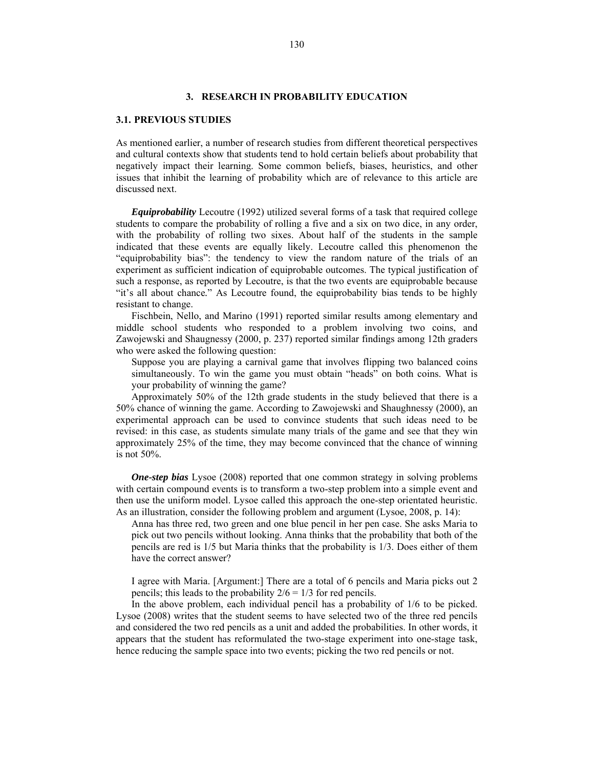### **3. RESEARCH IN PROBABILITY EDUCATION**

### **3.1. PREVIOUS STUDIES**

As mentioned earlier, a number of research studies from different theoretical perspectives and cultural contexts show that students tend to hold certain beliefs about probability that negatively impact their learning. Some common beliefs, biases, heuristics, and other issues that inhibit the learning of probability which are of relevance to this article are discussed next.

*Equiprobability* Lecoutre (1992) utilized several forms of a task that required college students to compare the probability of rolling a five and a six on two dice, in any order, with the probability of rolling two sixes. About half of the students in the sample indicated that these events are equally likely. Lecoutre called this phenomenon the "equiprobability bias": the tendency to view the random nature of the trials of an experiment as sufficient indication of equiprobable outcomes. The typical justification of such a response, as reported by Lecoutre, is that the two events are equiprobable because "it's all about chance*.*" As Lecoutre found, the equiprobability bias tends to be highly resistant to change.

 Fischbein, Nello, and Marino (1991) reported similar results among elementary and middle school students who responded to a problem involving two coins, and Zawojewski and Shaugnessy (2000, p. 237) reported similar findings among 12th graders who were asked the following question:

Suppose you are playing a carnival game that involves flipping two balanced coins simultaneously. To win the game you must obtain "heads" on both coins. What is your probability of winning the game?

Approximately 50% of the 12th grade students in the study believed that there is a 50% chance of winning the game. According to Zawojewski and Shaughnessy (2000), an experimental approach can be used to convince students that such ideas need to be revised: in this case, as students simulate many trials of the game and see that they win approximately 25% of the time, they may become convinced that the chance of winning is not 50%.

*One-step bias* Lysoe (2008) reported that one common strategy in solving problems with certain compound events is to transform a two-step problem into a simple event and then use the uniform model. Lysoe called this approach the one-step orientated heuristic. As an illustration, consider the following problem and argument (Lysoe, 2008, p. 14):

Anna has three red, two green and one blue pencil in her pen case. She asks Maria to pick out two pencils without looking. Anna thinks that the probability that both of the pencils are red is 1/5 but Maria thinks that the probability is 1/3. Does either of them have the correct answer?

I agree with Maria. [Argument:] There are a total of 6 pencils and Maria picks out 2 pencils; this leads to the probability  $2/6 = 1/3$  for red pencils.

In the above problem, each individual pencil has a probability of 1/6 to be picked. Lysoe (2008) writes that the student seems to have selected two of the three red pencils and considered the two red pencils as a unit and added the probabilities. In other words, it appears that the student has reformulated the two-stage experiment into one-stage task, hence reducing the sample space into two events; picking the two red pencils or not.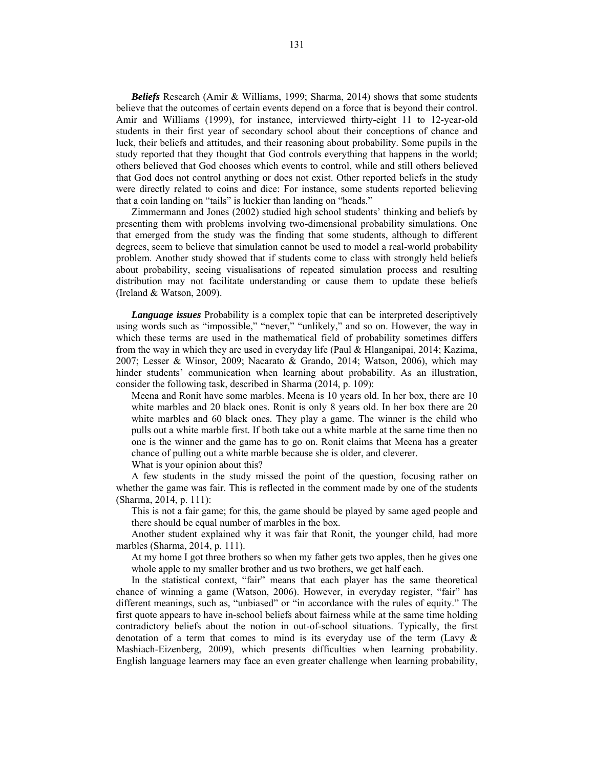*Beliefs* Research (Amir & Williams, 1999; Sharma, 2014) shows that some students believe that the outcomes of certain events depend on a force that is beyond their control. Amir and Williams (1999), for instance, interviewed thirty-eight 11 to 12-year-old students in their first year of secondary school about their conceptions of chance and luck, their beliefs and attitudes, and their reasoning about probability. Some pupils in the study reported that they thought that God controls everything that happens in the world; others believed that God chooses which events to control, while and still others believed that God does not control anything or does not exist. Other reported beliefs in the study were directly related to coins and dice: For instance, some students reported believing that a coin landing on "tails" is luckier than landing on "heads."

Zimmermann and Jones (2002) studied high school students' thinking and beliefs by presenting them with problems involving two-dimensional probability simulations. One that emerged from the study was the finding that some students, although to different degrees, seem to believe that simulation cannot be used to model a real-world probability problem. Another study showed that if students come to class with strongly held beliefs about probability, seeing visualisations of repeated simulation process and resulting distribution may not facilitate understanding or cause them to update these beliefs (Ireland & Watson, 2009).

*Language issues* Probability is a complex topic that can be interpreted descriptively using words such as "impossible," "never," "unlikely," and so on. However, the way in which these terms are used in the mathematical field of probability sometimes differs from the way in which they are used in everyday life (Paul & Hlanganipai, 2014; Kazima, 2007; Lesser & Winsor, 2009; Nacarato & Grando, 2014; Watson, 2006), which may hinder students' communication when learning about probability. As an illustration, consider the following task, described in Sharma (2014, p. 109):

Meena and Ronit have some marbles. Meena is 10 years old. In her box, there are 10 white marbles and 20 black ones. Ronit is only 8 years old. In her box there are 20 white marbles and 60 black ones. They play a game. The winner is the child who pulls out a white marble first. If both take out a white marble at the same time then no one is the winner and the game has to go on. Ronit claims that Meena has a greater chance of pulling out a white marble because she is older, and cleverer.

What is your opinion about this?

A few students in the study missed the point of the question, focusing rather on whether the game was fair. This is reflected in the comment made by one of the students (Sharma, 2014, p. 111):

This is not a fair game; for this, the game should be played by same aged people and there should be equal number of marbles in the box.

Another student explained why it was fair that Ronit, the younger child, had more marbles (Sharma, 2014, p. 111).

At my home I got three brothers so when my father gets two apples, then he gives one whole apple to my smaller brother and us two brothers, we get half each.

In the statistical context, "fair" means that each player has the same theoretical chance of winning a game (Watson, 2006). However, in everyday register, "fair" has different meanings, such as, "unbiased" or "in accordance with the rules of equity." The first quote appears to have in-school beliefs about fairness while at the same time holding contradictory beliefs about the notion in out-of-school situations. Typically, the first denotation of a term that comes to mind is its everyday use of the term (Lavy & Mashiach-Eizenberg, 2009), which presents difficulties when learning probability. English language learners may face an even greater challenge when learning probability,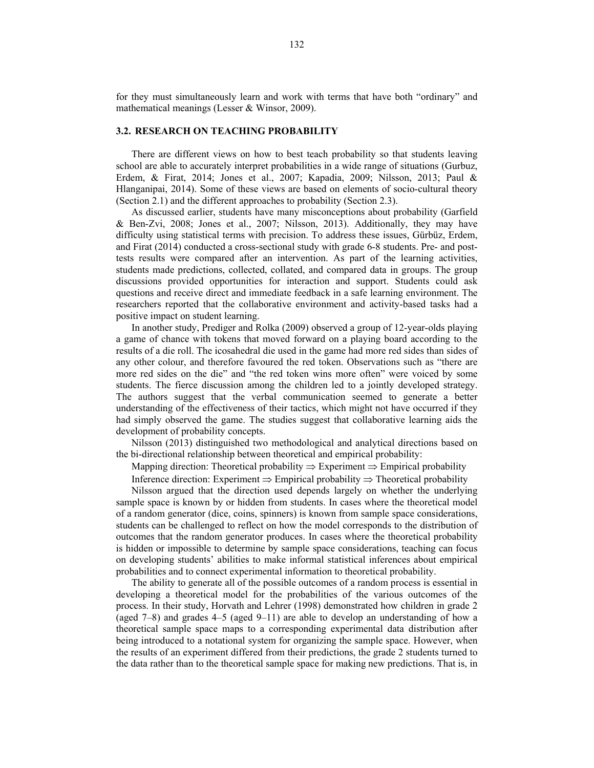for they must simultaneously learn and work with terms that have both "ordinary" and mathematical meanings (Lesser & Winsor, 2009).

### **3.2. RESEARCH ON TEACHING PROBABILITY**

There are different views on how to best teach probability so that students leaving school are able to accurately interpret probabilities in a wide range of situations (Gurbuz, Erdem, & Firat, 2014; Jones et al., 2007; Kapadia, 2009; Nilsson, 2013; Paul & Hlanganipai, 2014). Some of these views are based on elements of socio-cultural theory (Section 2.1) and the different approaches to probability (Section 2.3).

As discussed earlier, students have many misconceptions about probability (Garfield & Ben-Zvi, 2008; Jones et al., 2007; Nilsson, 2013). Additionally, they may have difficulty using statistical terms with precision. To address these issues, Gürbüz, Erdem, and Firat (2014) conducted a cross-sectional study with grade 6-8 students. Pre- and posttests results were compared after an intervention. As part of the learning activities, students made predictions, collected, collated, and compared data in groups. The group discussions provided opportunities for interaction and support. Students could ask questions and receive direct and immediate feedback in a safe learning environment. The researchers reported that the collaborative environment and activity-based tasks had a positive impact on student learning.

In another study, Prediger and Rolka (2009) observed a group of 12-year-olds playing a game of chance with tokens that moved forward on a playing board according to the results of a die roll. The icosahedral die used in the game had more red sides than sides of any other colour, and therefore favoured the red token. Observations such as "there are more red sides on the die" and "the red token wins more often" were voiced by some students. The fierce discussion among the children led to a jointly developed strategy. The authors suggest that the verbal communication seemed to generate a better understanding of the effectiveness of their tactics, which might not have occurred if they had simply observed the game. The studies suggest that collaborative learning aids the development of probability concepts.

Nilsson (2013) distinguished two methodological and analytical directions based on the bi-directional relationship between theoretical and empirical probability:

Mapping direction: Theoretical probability  $\Rightarrow$  Experiment  $\Rightarrow$  Empirical probability

Inference direction: Experiment  $\Rightarrow$  Empirical probability  $\Rightarrow$  Theoretical probability

Nilsson argued that the direction used depends largely on whether the underlying sample space is known by or hidden from students. In cases where the theoretical model of a random generator (dice, coins, spinners) is known from sample space considerations, students can be challenged to reflect on how the model corresponds to the distribution of outcomes that the random generator produces. In cases where the theoretical probability is hidden or impossible to determine by sample space considerations, teaching can focus on developing students' abilities to make informal statistical inferences about empirical probabilities and to connect experimental information to theoretical probability.

The ability to generate all of the possible outcomes of a random process is essential in developing a theoretical model for the probabilities of the various outcomes of the process. In their study, Horvath and Lehrer (1998) demonstrated how children in grade 2 (aged 7–8) and grades 4–5 (aged 9–11) are able to develop an understanding of how a theoretical sample space maps to a corresponding experimental data distribution after being introduced to a notational system for organizing the sample space. However, when the results of an experiment differed from their predictions, the grade 2 students turned to the data rather than to the theoretical sample space for making new predictions. That is, in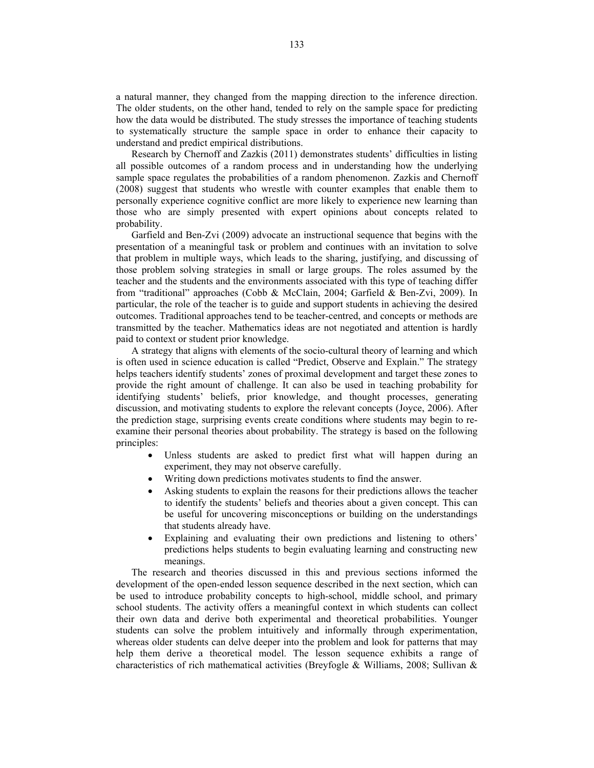a natural manner, they changed from the mapping direction to the inference direction. The older students, on the other hand, tended to rely on the sample space for predicting how the data would be distributed. The study stresses the importance of teaching students to systematically structure the sample space in order to enhance their capacity to understand and predict empirical distributions.

Research by Chernoff and Zazkis (2011) demonstrates students' difficulties in listing all possible outcomes of a random process and in understanding how the underlying sample space regulates the probabilities of a random phenomenon. Zazkis and Chernoff (2008) suggest that students who wrestle with counter examples that enable them to personally experience cognitive conflict are more likely to experience new learning than those who are simply presented with expert opinions about concepts related to probability.

Garfield and Ben-Zvi (2009) advocate an instructional sequence that begins with the presentation of a meaningful task or problem and continues with an invitation to solve that problem in multiple ways, which leads to the sharing, justifying, and discussing of those problem solving strategies in small or large groups. The roles assumed by the teacher and the students and the environments associated with this type of teaching differ from "traditional" approaches (Cobb & McClain, 2004; Garfield & Ben-Zvi, 2009). In particular, the role of the teacher is to guide and support students in achieving the desired outcomes. Traditional approaches tend to be teacher-centred, and concepts or methods are transmitted by the teacher. Mathematics ideas are not negotiated and attention is hardly paid to context or student prior knowledge.

A strategy that aligns with elements of the socio-cultural theory of learning and which is often used in science education is called "Predict, Observe and Explain." The strategy helps teachers identify students' zones of proximal development and target these zones to provide the right amount of challenge. It can also be used in teaching probability for identifying students' beliefs, prior knowledge, and thought processes, generating discussion, and motivating students to explore the relevant concepts (Joyce, 2006). After the prediction stage, surprising events create conditions where students may begin to reexamine their personal theories about probability. The strategy is based on the following principles:

- Unless students are asked to predict first what will happen during an experiment, they may not observe carefully.
- Writing down predictions motivates students to find the answer.
- Asking students to explain the reasons for their predictions allows the teacher to identify the students' beliefs and theories about a given concept. This can be useful for uncovering misconceptions or building on the understandings that students already have.
- Explaining and evaluating their own predictions and listening to others' predictions helps students to begin evaluating learning and constructing new meanings.

The research and theories discussed in this and previous sections informed the development of the open-ended lesson sequence described in the next section, which can be used to introduce probability concepts to high-school, middle school, and primary school students. The activity offers a meaningful context in which students can collect their own data and derive both experimental and theoretical probabilities. Younger students can solve the problem intuitively and informally through experimentation, whereas older students can delve deeper into the problem and look for patterns that may help them derive a theoretical model. The lesson sequence exhibits a range of characteristics of rich mathematical activities (Breyfogle & Williams, 2008; Sullivan &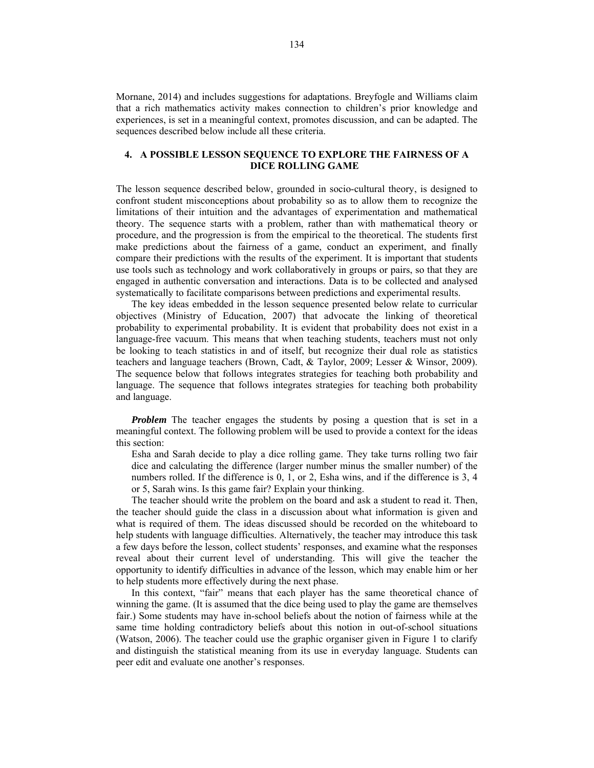Mornane, 2014) and includes suggestions for adaptations. Breyfogle and Williams claim that a rich mathematics activity makes connection to children's prior knowledge and experiences, is set in a meaningful context, promotes discussion, and can be adapted. The sequences described below include all these criteria.

## **4. A POSSIBLE LESSON SEQUENCE TO EXPLORE THE FAIRNESS OF A DICE ROLLING GAME**

The lesson sequence described below, grounded in socio-cultural theory, is designed to confront student misconceptions about probability so as to allow them to recognize the limitations of their intuition and the advantages of experimentation and mathematical theory. The sequence starts with a problem, rather than with mathematical theory or procedure, and the progression is from the empirical to the theoretical. The students first make predictions about the fairness of a game, conduct an experiment, and finally compare their predictions with the results of the experiment. It is important that students use tools such as technology and work collaboratively in groups or pairs, so that they are engaged in authentic conversation and interactions. Data is to be collected and analysed systematically to facilitate comparisons between predictions and experimental results.

The key ideas embedded in the lesson sequence presented below relate to curricular objectives (Ministry of Education, 2007) that advocate the linking of theoretical probability to experimental probability. It is evident that probability does not exist in a language-free vacuum. This means that when teaching students, teachers must not only be looking to teach statistics in and of itself, but recognize their dual role as statistics teachers and language teachers (Brown, Cadt, & Taylor, 2009; Lesser & Winsor, 2009). The sequence below that follows integrates strategies for teaching both probability and language. The sequence that follows integrates strategies for teaching both probability and language.

*Problem* The teacher engages the students by posing a question that is set in a meaningful context. The following problem will be used to provide a context for the ideas this section:

Esha and Sarah decide to play a dice rolling game. They take turns rolling two fair dice and calculating the difference (larger number minus the smaller number) of the numbers rolled. If the difference is 0, 1, or 2, Esha wins, and if the difference is 3, 4 or 5, Sarah wins. Is this game fair? Explain your thinking.

The teacher should write the problem on the board and ask a student to read it. Then, the teacher should guide the class in a discussion about what information is given and what is required of them. The ideas discussed should be recorded on the whiteboard to help students with language difficulties. Alternatively, the teacher may introduce this task a few days before the lesson, collect students' responses, and examine what the responses reveal about their current level of understanding. This will give the teacher the opportunity to identify difficulties in advance of the lesson, which may enable him or her to help students more effectively during the next phase.

In this context, "fair" means that each player has the same theoretical chance of winning the game. (It is assumed that the dice being used to play the game are themselves fair.) Some students may have in-school beliefs about the notion of fairness while at the same time holding contradictory beliefs about this notion in out-of-school situations (Watson, 2006). The teacher could use the graphic organiser given in Figure 1 to clarify and distinguish the statistical meaning from its use in everyday language. Students can peer edit and evaluate one another's responses.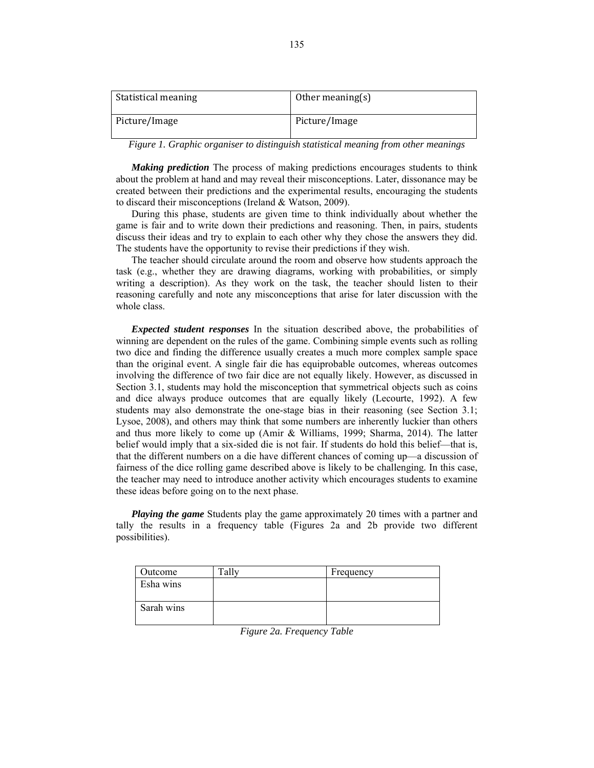| Statistical meaning | Other meaning $(s)$ |
|---------------------|---------------------|
| Picture/Image       | Picture/Image       |

*Figure 1. Graphic organiser to distinguish statistical meaning from other meanings* 

*Making prediction* The process of making predictions encourages students to think about the problem at hand and may reveal their misconceptions. Later, dissonance may be created between their predictions and the experimental results, encouraging the students to discard their misconceptions (Ireland & Watson, 2009).

During this phase, students are given time to think individually about whether the game is fair and to write down their predictions and reasoning. Then, in pairs, students discuss their ideas and try to explain to each other why they chose the answers they did. The students have the opportunity to revise their predictions if they wish.

The teacher should circulate around the room and observe how students approach the task (e.g., whether they are drawing diagrams, working with probabilities, or simply writing a description). As they work on the task, the teacher should listen to their reasoning carefully and note any misconceptions that arise for later discussion with the whole class.

*Expected student responses* In the situation described above, the probabilities of winning are dependent on the rules of the game. Combining simple events such as rolling two dice and finding the difference usually creates a much more complex sample space than the original event. A single fair die has equiprobable outcomes, whereas outcomes involving the difference of two fair dice are not equally likely. However, as discussed in Section 3.1, students may hold the misconception that symmetrical objects such as coins and dice always produce outcomes that are equally likely (Lecourte, 1992). A few students may also demonstrate the one-stage bias in their reasoning (see Section 3.1; Lysoe, 2008), and others may think that some numbers are inherently luckier than others and thus more likely to come up (Amir & Williams, 1999; Sharma, 2014). The latter belief would imply that a six-sided die is not fair. If students do hold this belief—that is, that the different numbers on a die have different chances of coming up—a discussion of fairness of the dice rolling game described above is likely to be challenging*.* In this case, the teacher may need to introduce another activity which encourages students to examine these ideas before going on to the next phase.

*Playing the game* Students play the game approximately 20 times with a partner and tally the results in a frequency table (Figures 2a and 2b provide two different possibilities).

| Outcome    | Frequency |
|------------|-----------|
| Esha wins  |           |
| Sarah wins |           |

*Figure 2a. Frequency Table*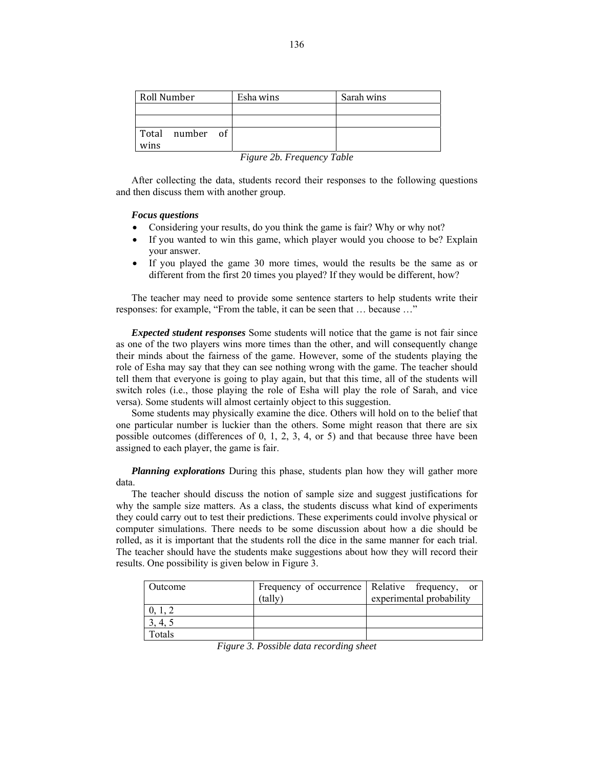| Roll Number             |  | Esha wins | Sarah wins |
|-------------------------|--|-----------|------------|
|                         |  |           |            |
|                         |  |           |            |
| Total number of<br>wins |  |           |            |

|  |  | Figure 2b. Frequency Table |  |
|--|--|----------------------------|--|
|--|--|----------------------------|--|

After collecting the data, students record their responses to the following questions and then discuss them with another group.

### *Focus questions*

- Considering your results, do you think the game is fair? Why or why not?
- If you wanted to win this game, which player would you choose to be? Explain your answer.
- If you played the game 30 more times, would the results be the same as or different from the first 20 times you played? If they would be different, how?

The teacher may need to provide some sentence starters to help students write their responses: for example, "From the table, it can be seen that … because …"

*Expected student responses* Some students will notice that the game is not fair since as one of the two players wins more times than the other, and will consequently change their minds about the fairness of the game. However, some of the students playing the role of Esha may say that they can see nothing wrong with the game. The teacher should tell them that everyone is going to play again, but that this time, all of the students will switch roles (i.e., those playing the role of Esha will play the role of Sarah, and vice versa). Some students will almost certainly object to this suggestion.

Some students may physically examine the dice. Others will hold on to the belief that one particular number is luckier than the others. Some might reason that there are six possible outcomes (differences of 0, 1, 2, 3, 4, or 5) and that because three have been assigned to each player, the game is fair.

*Planning explorations* During this phase, students plan how they will gather more data.

The teacher should discuss the notion of sample size and suggest justifications for why the sample size matters. As a class, the students discuss what kind of experiments they could carry out to test their predictions. These experiments could involve physical or computer simulations. There needs to be some discussion about how a die should be rolled, as it is important that the students roll the dice in the same manner for each trial. The teacher should have the students make suggestions about how they will record their results. One possibility is given below in Figure 3.

| Outcome |         | Frequency of occurrence Relative frequency, or |
|---------|---------|------------------------------------------------|
|         | (tallv` | experimental probability                       |
|         |         |                                                |
| 3, 4, 5 |         |                                                |
| Totals  |         |                                                |

*Figure 3. Possible data recording sheet*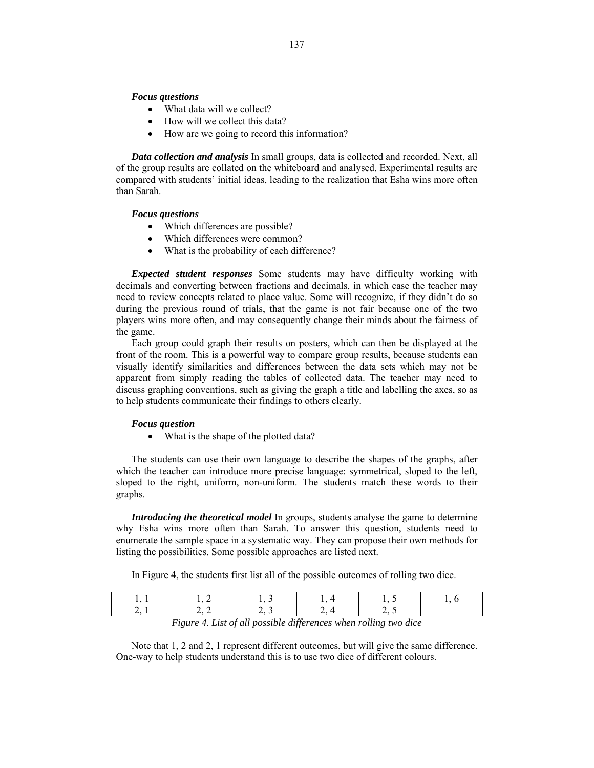#### *Focus questions*

- What data will we collect?
- How will we collect this data?
- How are we going to record this information?

*Data collection and analysis* In small groups, data is collected and recorded. Next, all of the group results are collated on the whiteboard and analysed. Experimental results are compared with students' initial ideas, leading to the realization that Esha wins more often than Sarah.

### *Focus questions*

- Which differences are possible?
- Which differences were common?
- What is the probability of each difference?

*Expected student responses* Some students may have difficulty working with decimals and converting between fractions and decimals, in which case the teacher may need to review concepts related to place value. Some will recognize, if they didn't do so during the previous round of trials, that the game is not fair because one of the two players wins more often, and may consequently change their minds about the fairness of the game.

Each group could graph their results on posters, which can then be displayed at the front of the room. This is a powerful way to compare group results, because students can visually identify similarities and differences between the data sets which may not be apparent from simply reading the tables of collected data. The teacher may need to discuss graphing conventions, such as giving the graph a title and labelling the axes, so as to help students communicate their findings to others clearly.

#### *Focus question*

• What is the shape of the plotted data?

The students can use their own language to describe the shapes of the graphs, after which the teacher can introduce more precise language: symmetrical, sloped to the left, sloped to the right, uniform, non-uniform. The students match these words to their graphs.

*Introducing the theoretical model* In groups, students analyse the game to determine why Esha wins more often than Sarah. To answer this question, students need to enumerate the sample space in a systematic way. They can propose their own methods for listing the possibilities. Some possible approaches are listed next.

In Figure 4, the students first list all of the possible outcomes of rolling two dice.

|  |  | Figure 4. List of all possible differences when rolling two dice |  |
|--|--|------------------------------------------------------------------|--|

Note that 1, 2 and 2, 1 represent different outcomes, but will give the same difference.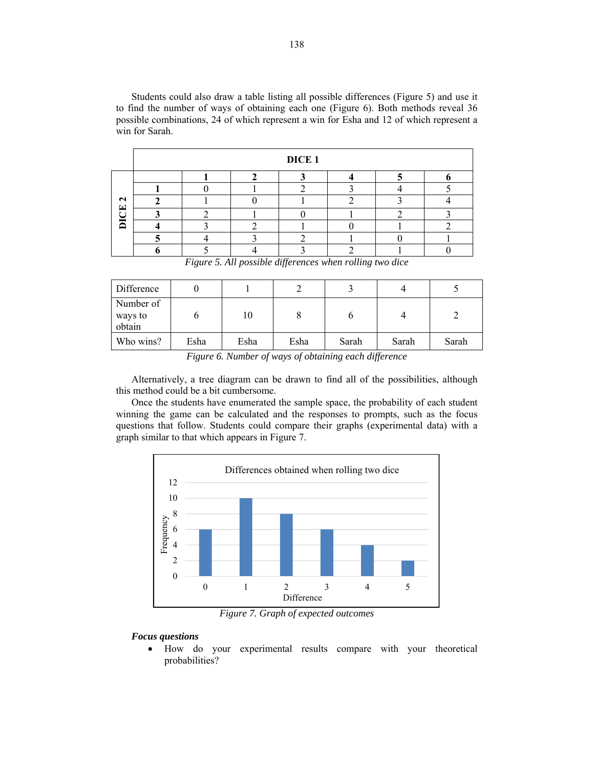Students could also draw a table listing all possible differences (Figure 5) and use it to find the number of ways of obtaining each one (Figure 6). Both methods reveal 36 possible combinations, 24 of which represent a win for Esha and 12 of which represent a win for Sarah.

|                                        |  | DICE <sub>1</sub> |  |  |
|----------------------------------------|--|-------------------|--|--|
|                                        |  |                   |  |  |
|                                        |  |                   |  |  |
| $\mathbf{r}$<br>$\boxed{\blacksquare}$ |  |                   |  |  |
|                                        |  |                   |  |  |
| 宝<br>⌒                                 |  |                   |  |  |
|                                        |  |                   |  |  |
|                                        |  |                   |  |  |

*Figure 5. All possible differences when rolling two dice* 

| Difference                     |      |      |      |       |       |       |
|--------------------------------|------|------|------|-------|-------|-------|
| Number of<br>ways to<br>obtain |      | 10   |      |       |       |       |
| Who wins?                      | Esha | Esha | Esha | Sarah | Sarah | Sarah |

*Figure 6. Number of ways of obtaining each difference* 

Alternatively, a tree diagram can be drawn to find all of the possibilities, although this method could be a bit cumbersome.

Once the students have enumerated the sample space, the probability of each student winning the game can be calculated and the responses to prompts, such as the focus questions that follow. Students could compare their graphs (experimental data) with a graph similar to that which appears in Figure 7.



*Figure 7. Graph of expected outcomes* 

### *Focus questions*

 How do your experimental results compare with your theoretical probabilities?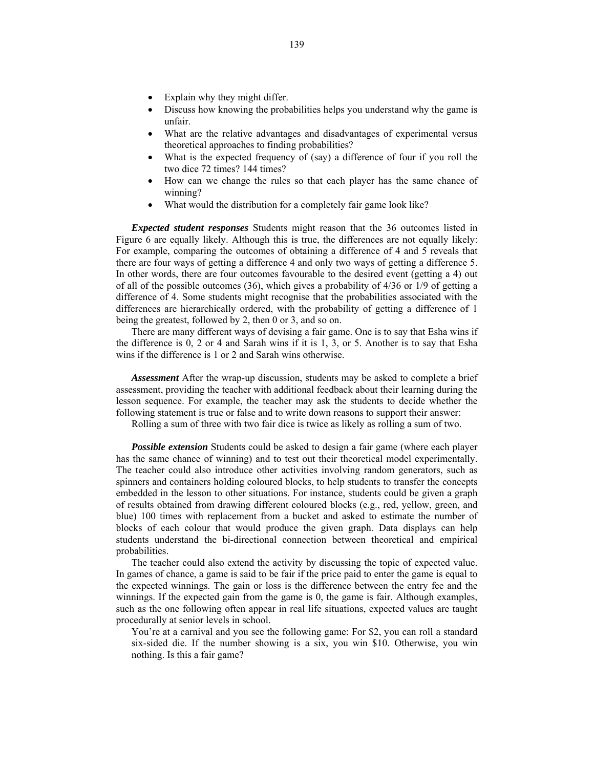- Explain why they might differ.
- Discuss how knowing the probabilities helps you understand why the game is unfair.
- What are the relative advantages and disadvantages of experimental versus theoretical approaches to finding probabilities?
- What is the expected frequency of (say) a difference of four if you roll the two dice 72 times? 144 times?
- How can we change the rules so that each player has the same chance of winning?
- What would the distribution for a completely fair game look like?

*Expected student responses* Students might reason that the 36 outcomes listed in Figure 6 are equally likely. Although this is true, the differences are not equally likely: For example, comparing the outcomes of obtaining a difference of 4 and 5 reveals that there are four ways of getting a difference 4 and only two ways of getting a difference 5. In other words, there are four outcomes favourable to the desired event (getting a 4) out of all of the possible outcomes (36), which gives a probability of 4/36 or 1/9 of getting a difference of 4. Some students might recognise that the probabilities associated with the differences are hierarchically ordered, with the probability of getting a difference of 1 being the greatest, followed by 2, then 0 or 3, and so on.

There are many different ways of devising a fair game. One is to say that Esha wins if the difference is 0, 2 or 4 and Sarah wins if it is 1, 3, or 5. Another is to say that Esha wins if the difference is 1 or 2 and Sarah wins otherwise.

*Assessment* After the wrap-up discussion, students may be asked to complete a brief assessment, providing the teacher with additional feedback about their learning during the lesson sequence. For example, the teacher may ask the students to decide whether the following statement is true or false and to write down reasons to support their answer:

Rolling a sum of three with two fair dice is twice as likely as rolling a sum of two.

*Possible extension* Students could be asked to design a fair game (where each player has the same chance of winning) and to test out their theoretical model experimentally. The teacher could also introduce other activities involving random generators, such as spinners and containers holding coloured blocks, to help students to transfer the concepts embedded in the lesson to other situations. For instance, students could be given a graph of results obtained from drawing different coloured blocks (e.g., red, yellow, green, and blue) 100 times with replacement from a bucket and asked to estimate the number of blocks of each colour that would produce the given graph. Data displays can help students understand the bi-directional connection between theoretical and empirical probabilities.

The teacher could also extend the activity by discussing the topic of expected value. In games of chance, a game is said to be fair if the price paid to enter the game is equal to the expected winnings. The gain or loss is the difference between the entry fee and the winnings. If the expected gain from the game is 0, the game is fair. Although examples, such as the one following often appear in real life situations, expected values are taught procedurally at senior levels in school.

You're at a carnival and you see the following game: For \$2, you can roll a standard six-sided die. If the number showing is a six, you win \$10. Otherwise, you win nothing. Is this a fair game?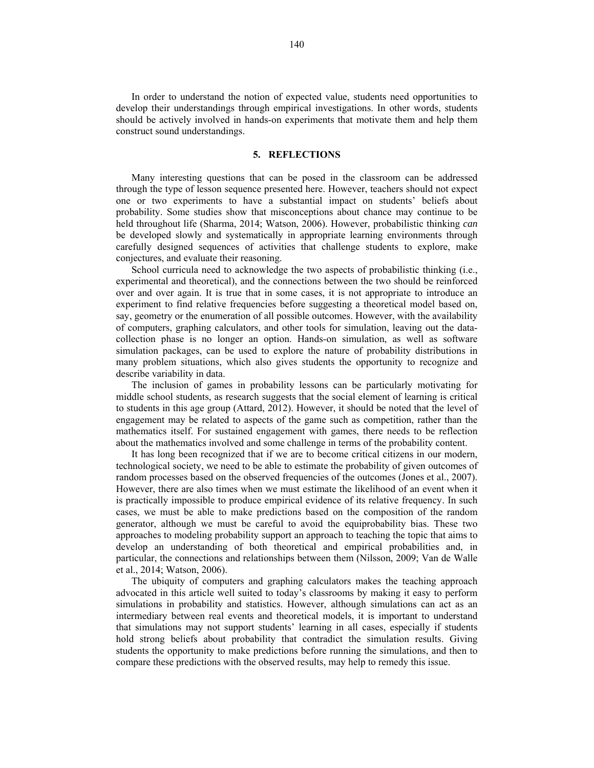In order to understand the notion of expected value, students need opportunities to develop their understandings through empirical investigations. In other words, students should be actively involved in hands-on experiments that motivate them and help them construct sound understandings.

### **5. REFLECTIONS**

Many interesting questions that can be posed in the classroom can be addressed through the type of lesson sequence presented here. However, teachers should not expect one or two experiments to have a substantial impact on students' beliefs about probability. Some studies show that misconceptions about chance may continue to be held throughout life (Sharma, 2014; Watson, 2006). However, probabilistic thinking *can* be developed slowly and systematically in appropriate learning environments through carefully designed sequences of activities that challenge students to explore, make conjectures, and evaluate their reasoning.

School curricula need to acknowledge the two aspects of probabilistic thinking (i.e., experimental and theoretical), and the connections between the two should be reinforced over and over again. It is true that in some cases, it is not appropriate to introduce an experiment to find relative frequencies before suggesting a theoretical model based on, say, geometry or the enumeration of all possible outcomes. However, with the availability of computers, graphing calculators, and other tools for simulation, leaving out the datacollection phase is no longer an option. Hands-on simulation, as well as software simulation packages, can be used to explore the nature of probability distributions in many problem situations, which also gives students the opportunity to recognize and describe variability in data.

The inclusion of games in probability lessons can be particularly motivating for middle school students, as research suggests that the social element of learning is critical to students in this age group (Attard, 2012). However, it should be noted that the level of engagement may be related to aspects of the game such as competition, rather than the mathematics itself. For sustained engagement with games, there needs to be reflection about the mathematics involved and some challenge in terms of the probability content.

It has long been recognized that if we are to become critical citizens in our modern, technological society, we need to be able to estimate the probability of given outcomes of random processes based on the observed frequencies of the outcomes (Jones et al., 2007). However, there are also times when we must estimate the likelihood of an event when it is practically impossible to produce empirical evidence of its relative frequency. In such cases, we must be able to make predictions based on the composition of the random generator, although we must be careful to avoid the equiprobability bias. These two approaches to modeling probability support an approach to teaching the topic that aims to develop an understanding of both theoretical and empirical probabilities and, in particular, the connections and relationships between them (Nilsson, 2009; Van de Walle et al., 2014; Watson, 2006).

The ubiquity of computers and graphing calculators makes the teaching approach advocated in this article well suited to today's classrooms by making it easy to perform simulations in probability and statistics. However, although simulations can act as an intermediary between real events and theoretical models, it is important to understand that simulations may not support students' learning in all cases, especially if students hold strong beliefs about probability that contradict the simulation results. Giving students the opportunity to make predictions before running the simulations, and then to compare these predictions with the observed results, may help to remedy this issue.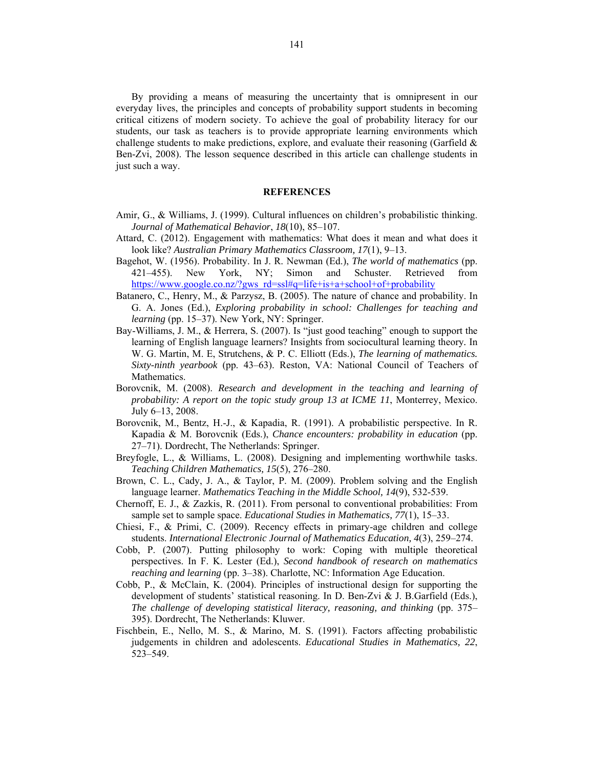By providing a means of measuring the uncertainty that is omnipresent in our everyday lives, the principles and concepts of probability support students in becoming critical citizens of modern society. To achieve the goal of probability literacy for our students, our task as teachers is to provide appropriate learning environments which challenge students to make predictions, explore, and evaluate their reasoning (Garfield & Ben-Zvi, 2008). The lesson sequence described in this article can challenge students in just such a way.

### **REFERENCES**

- Amir, G., & Williams, J. (1999). Cultural influences on children's probabilistic thinking. *Journal of Mathematical Behavior*, *18*(10), 85–107.
- Attard, C. (2012). Engagement with mathematics: What does it mean and what does it look like? *Australian Primary Mathematics Classroom, 17*(1), 9–13.
- Bagehot, W. (1956). Probability. In J. R. Newman (Ed.), *The world of mathematics* (pp. 421–455). New York, NY; Simon and Schuster. Retrieved from https://www.google.co.nz/?gws\_rd=ssl#q=life+is+a+school+of+probability
- Batanero, C., Henry, M., & Parzysz, B. (2005). The nature of chance and probability. In G. A. Jones (Ed.), *Exploring probability in school: Challenges for teaching and learning* (pp. 15–37). New York, NY: Springer.
- Bay-Williams, J. M., & Herrera, S. (2007). Is "just good teaching" enough to support the learning of English language learners? Insights from sociocultural learning theory*.* In W. G. Martin, M. E, Strutchens, & P. C. Elliott (Eds.), *The learning of mathematics. Sixty-ninth yearbook* (pp. 43–63). Reston, VA: National Council of Teachers of Mathematics.
- Borovcnik, M. (2008). *Research and development in the teaching and learning of probability: A report on the topic study group 13 at ICME 11*, Monterrey, Mexico. July 6–13, 2008.
- Borovcnik, M., Bentz, H.-J., & Kapadia, R. (1991). A probabilistic perspective. In R. Kapadia & M. Borovcnik (Eds.), *Chance encounters: probability in education* (pp. 27–71). Dordrecht, The Netherlands: Springer.
- Breyfogle, L., & Williams, L. (2008). Designing and implementing worthwhile tasks. *Teaching Children Mathematics, 15*(5), 276–280.
- Brown, C. L., Cady, J. A., & Taylor, P. M. (2009). Problem solving and the English language learner. *Mathematics Teaching in the Middle School, 14*(9), 532-539.
- Chernoff, E. J., & Zazkis, R. (2011). From personal to conventional probabilities: From sample set to sample space. *Educational Studies in Mathematics, 77*(1), 15–33.
- Chiesi, F., & Primi, C. (2009). Recency effects in primary-age children and college students. *International Electronic Journal of Mathematics Education, 4*(3), 259–274.
- Cobb, P. (2007). Putting philosophy to work: Coping with multiple theoretical perspectives. In F. K. Lester (Ed.), *Second handbook of research on mathematics reaching and learning* (pp. 3–38). Charlotte, NC: Information Age Education.
- Cobb, P., & McClain, K. (2004). Principles of instructional design for supporting the development of students' statistical reasoning. In D. Ben-Zvi & J. B.Garfield (Eds.), *The challenge of developing statistical literacy, reasoning, and thinking* (pp. 375– 395). Dordrecht, The Netherlands: Kluwer.
- Fischbein, E., Nello, M. S., & Marino, M. S. (1991). Factors affecting probabilistic judgements in children and adolescents. *Educational Studies in Mathematics, 22*, 523–549.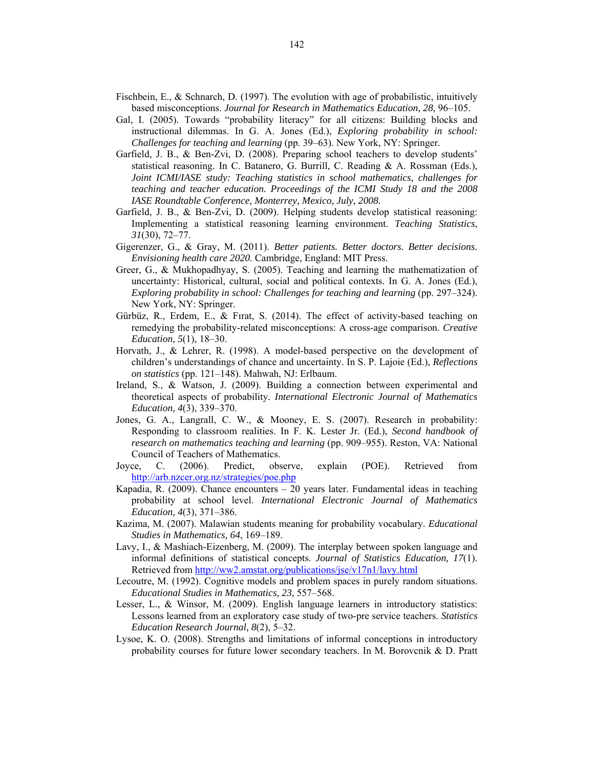- Fischbein, E., & Schnarch, D. (1997). The evolution with age of probabilistic, intuitively based misconceptions. *Journal for Research in Mathematics Education, 28*, 96–105.
- Gal, I. (2005). Towards "probability literacy" for all citizens: Building blocks and instructional dilemmas. In G. A. Jones (Ed.), *Exploring probability in school: Challenges for teaching and learning* (pp. 39–63). New York, NY: Springer.
- Garfield, J. B., & Ben-Zvi, D. (2008). Preparing school teachers to develop students' statistical reasoning. In C. Batanero, G. Burrill, C. Reading & A. Rossman (Eds.), *Joint ICMI/IASE study: Teaching statistics in school mathematics, challenges for teaching and teacher education. Proceedings of the ICMI Study 18 and the 2008 IASE Roundtable Conference, Monterrey, Mexico, July, 2008.*
- Garfield, J. B., & Ben-Zvi, D. (2009). Helping students develop statistical reasoning: Implementing a statistical reasoning learning environment. *Teaching Statistics*, *31*(30), 72–77.
- Gigerenzer, G., & Gray, M. (2011). *Better patients. Better doctors. Better decisions. Envisioning health care 2020*. Cambridge, England: MIT Press.
- Greer, G., & Mukhopadhyay, S. (2005). Teaching and learning the mathematization of uncertainty: Historical, cultural, social and political contexts. In G. A. Jones (Ed.), *Exploring probability in school: Challenges for teaching and learning* (pp. 297–324). New York, NY: Springer.
- Gürbüz, R., Erdem, E., & Fırat, S. (2014). The effect of activity-based teaching on remedying the probability-related misconceptions: A cross-age comparison. *Creative Education*, *5*(1), 18–30.
- Horvath, J., & Lehrer, R. (1998). A model-based perspective on the development of children's understandings of chance and uncertainty. In S. P. Lajoie (Ed.), *Reflections on statistics* (pp. 121–148). Mahwah, NJ: Erlbaum.
- Ireland, S., & Watson, J. (2009). Building a connection between experimental and theoretical aspects of probability*. International Electronic Journal of Mathematics Education, 4*(3), 339–370.
- Jones, G. A., Langrall, C. W., & Mooney, E. S. (2007). Research in probability: Responding to classroom realities. In F. K. Lester Jr. (Ed.), *Second handbook of research on mathematics teaching and learning* (pp. 909–955). Reston, VA: National Council of Teachers of Mathematics.
- Joyce, C. (2006). Predict, observe, explain (POE). Retrieved from http://arb.nzcer.org.nz/strategies/poe.php
- Kapadia, R. (2009). Chance encounters 20 years later. Fundamental ideas in teaching probability at school level. *International Electronic Journal of Mathematics Education, 4*(3), 371–386.
- Kazima, M. (2007). Malawian students meaning for probability vocabulary. *Educational Studies in Mathematics, 64*, 169–189.
- Lavy, I., & Mashiach-Eizenberg, M. (2009). The interplay between spoken language and informal definitions of statistical concepts. *Journal of Statistics Education, 17*(1). Retrieved from http://ww2.amstat.org/publications/jse/v17n1/lavy.html
- Lecoutre, M. (1992). Cognitive models and problem spaces in purely random situations. *Educational Studies in Mathematics, 23*, 557–568.
- Lesser, L., & Winsor, M. (2009). English language learners in introductory statistics: Lessons learned from an exploratory case study of two-pre service teachers. *Statistics Education Research Journal, 8*(2), 5–32.
- Lysoe, K. O. (2008). Strengths and limitations of informal conceptions in introductory probability courses for future lower secondary teachers. In M. Borovcnik & D. Pratt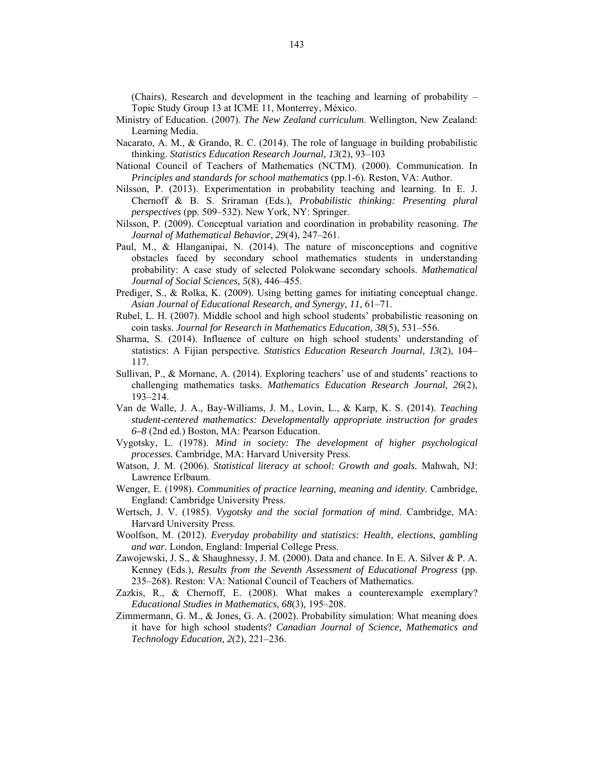(Chairs), Research and development in the teaching and learning of probability – Topic Study Group 13 at ICME 11, Monterrey, México.

- Ministry of Education. (2007). *The New Zealand curriculum*. Wellington, New Zealand: Learning Media.
- Nacarato, A. M., & Grando, R. C. (2014). The role of language in building probabilistic thinking. *Statistics Education Research Journal, 13*(2), 93–103
- National Council of Teachers of Mathematics (NCTM). (2000). Communication. In *Principles and standards for school mathematics* (pp.1-6)*.* Reston, VA: Author.
- Nilsson, P. (2013). Experimentation in probability teaching and learning. In E. J. Chernoff & B. S. Sriraman (Eds.), *Probabilistic thinking: Presenting plural perspectives* (pp. 509–532). New York, NY: Springer.
- Nilsson, P. (2009). Conceptual variation and coordination in probability reasoning. *The Journal of Mathematical Behavior*, *29*(4), 247–261.
- Paul, M., & Hlanganipai, N. (2014). The nature of misconceptions and cognitive obstacles faced by secondary school mathematics students in understanding probability: A case study of selected Polokwane secondary schools. *Mathematical Journal of Social Sciences, 5*(8), 446–455.
- Prediger, S., & Rolka, K. (2009). Using betting games for initiating conceptual change. *Asian Journal of Educational Research, and Synergy, 11*, 61–71.
- Rubel, L. H. (2007). Middle school and high school students' probabilistic reasoning on coin tasks. *Journal for Research in Mathematics Education, 38*(5), 531–556.
- Sharma, S. (2014). Influence of culture on high school students' understanding of statistics: A Fijian perspective. *Statistics Education Research Journal, 13*(2), 104– 117.
- Sullivan, P., & Mornane, A. (2014). Exploring teachers' use of and students' reactions to challenging mathematics tasks. *Mathematics Education Research Journal, 26*(2), 193–214.
- Van de Walle, J. A., Bay-Williams, J. M., Lovin, L., & Karp, K. S. (2014). *Teaching student-centered mathematics: Developmentally appropriate instruction for grades 6–8* (2nd ed.) Boston, MA: Pearson Education.
- Vygotsky, L. (1978). *Mind in society: The development of higher psychological processes.* Cambridge, MA: Harvard University Press.
- Watson, J. M. (2006). *Statistical literacy at school: Growth and goals.* Mahwah, NJ: Lawrence Erlbaum.
- Wenger, E. (1998). *Communities of practice learning, meaning and identity.* Cambridge, England: Cambridge University Press.
- Wertsch, J. V. (1985). *Vygotsky and the social formation of mind*. Cambridge, MA: Harvard University Press.
- Woolfson, M. (2012). *Everyday probability and statistics: Health, elections, gambling and war.* London, England: Imperial College Press.
- Zawojewski, J. S., & Shaughnessy, J. M. (2000). Data and chance. In E. A. Silver & P. A. Kenney (Eds.), *Results from the Seventh Assessment of Educational Progress* (pp. 235–268). Reston: VA: National Council of Teachers of Mathematics.
- Zazkis, R., & Chernoff, E. (2008). What makes a counterexample exemplary? *Educational Studies in Mathematics*, *68*(3), 195–208.
- Zimmermann, G. M., & Jones, G. A. (2002). Probability simulation: What meaning does it have for high school students? *Canadian Journal of Science, Mathematics and Technology Education, 2*(2), 221–236.